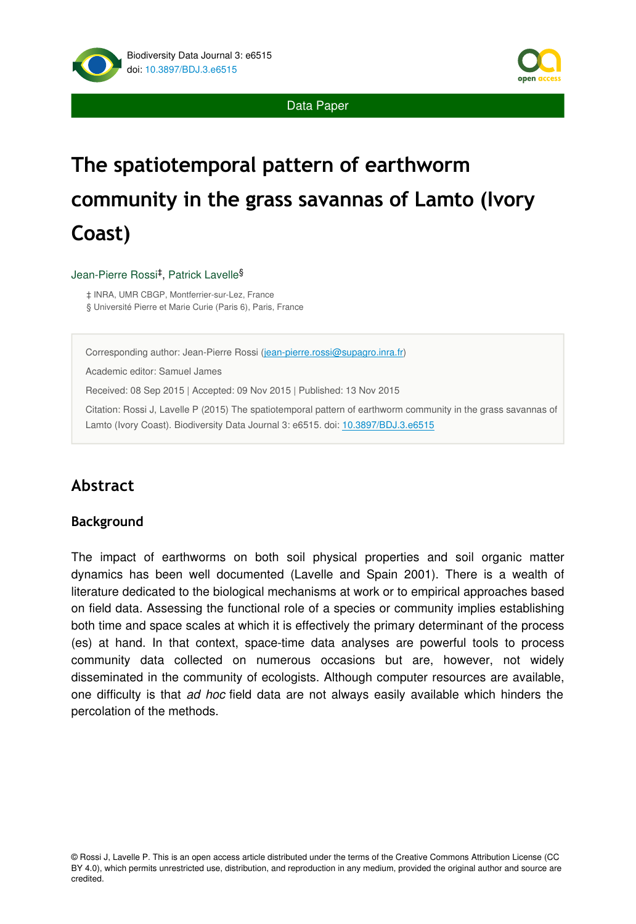

Data Paper

# **The spatiotemporal pattern of earthworm community in the grass savannas of Lamto (Ivory Coast)**

#### Jean-Pierre Rossi<sup>‡</sup>, Patrick Lavelle<sup>§</sup>

‡ INRA, UMR CBGP, Montferrier-sur-Lez, France

§ Université Pierre et Marie Curie (Paris 6), Paris, France

Corresponding author: Jean-Pierre Rossi [\(jean-pierre.rossi@supagro.inra.fr\)](mailto:jean-pierre.rossi@supagro.inra.fr?subject=Your%20manuscript%20in%20PWT%20#4196/BDJ%20#6515)

Academic editor: Samuel James

Received: 08 Sep 2015 | Accepted: 09 Nov 2015 | Published: 13 Nov 2015

Citation: Rossi J, Lavelle P (2015) The spatiotemporal pattern of earthworm community in the grass savannas of Lamto (Ivory Coast). Biodiversity Data Journal 3: e6515. doi: [10.3897/BDJ.3.e6515](http://dx.doi.org/10.3897/BDJ.3.e6515)

# **Abstract**

#### **Background**

The impact of earthworms on both soil physical properties and soil organic matter dynamics has been well documented (Lavelle and Spain 2001). There is a wealth of literature dedicated to the biological mechanisms at work or to empirical approaches based on field data. Assessing the functional role of a species or community implies establishing both time and space scales at which it is effectively the primary determinant of the process (es) at hand. In that context, space-time data analyses are powerful tools to process community data collected on numerous occasions but are, however, not widely disseminated in the community of ecologists. Although computer resources are available, one difficulty is that *ad hoc* field data are not always easily available which hinders the percolation of the methods.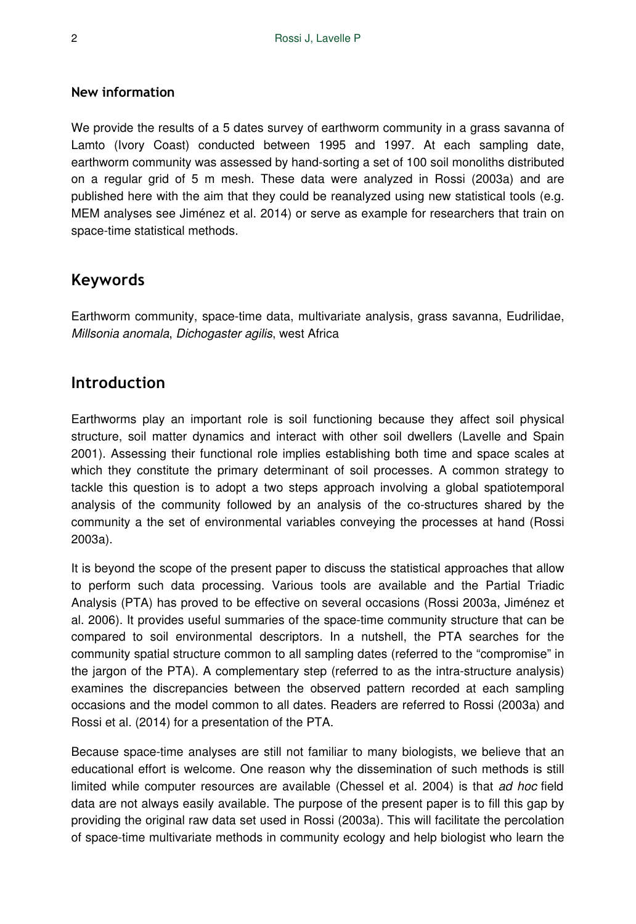#### **New information**

We provide the results of a 5 dates survey of earthworm community in a grass savanna of Lamto (Ivory Coast) conducted between 1995 and 1997. At each sampling date, earthworm community was assessed by hand-sorting a set of 100 soil monoliths distributed on a regular grid of 5 m mesh. These data were analyzed in Rossi (2003a) and are published here with the aim that they could be reanalyzed using new statistical tools (e.g. MEM analyses see Jiménez et al. 2014) or serve as example for researchers that train on space-time statistical methods.

## **Keywords**

Earthworm community, space-time data, multivariate analysis, grass savanna, Eudrilidae, *Millsonia anomala*, *Dichogaster agilis*, west Africa

## **Introduction**

Earthworms play an important role is soil functioning because they affect soil physical structure, soil matter dynamics and interact with other soil dwellers (Lavelle and Spain 2001). Assessing their functional role implies establishing both time and space scales at which they constitute the primary determinant of soil processes. A common strategy to tackle this question is to adopt a two steps approach involving a global spatiotemporal analysis of the community followed by an analysis of the co-structures shared by the community a the set of environmental variables conveying the processes at hand (Rossi 2003a).

It is beyond the scope of the present paper to discuss the statistical approaches that allow to perform such data processing. Various tools are available and the Partial Triadic Analysis (PTA) has proved to be effective on several occasions (Rossi 2003a, Jiménez et al. 2006). It provides useful summaries of the space-time community structure that can be compared to soil environmental descriptors. In a nutshell, the PTA searches for the community spatial structure common to all sampling dates (referred to the "compromise" in the jargon of the PTA). A complementary step (referred to as the intra-structure analysis) examines the discrepancies between the observed pattern recorded at each sampling occasions and the model common to all dates. Readers are referred to Rossi (2003a) and Rossi et al. (2014) for a presentation of the PTA.

Because space-time analyses are still not familiar to many biologists, we believe that an educational effort is welcome. One reason why the dissemination of such methods is still limited while computer resources are available (Chessel et al. 2004) is that *ad hoc* field data are not always easily available. The purpose of the present paper is to fill this gap by providing the original raw data set used in Rossi (2003a). This will facilitate the percolation of space-time multivariate methods in community ecology and help biologist who learn the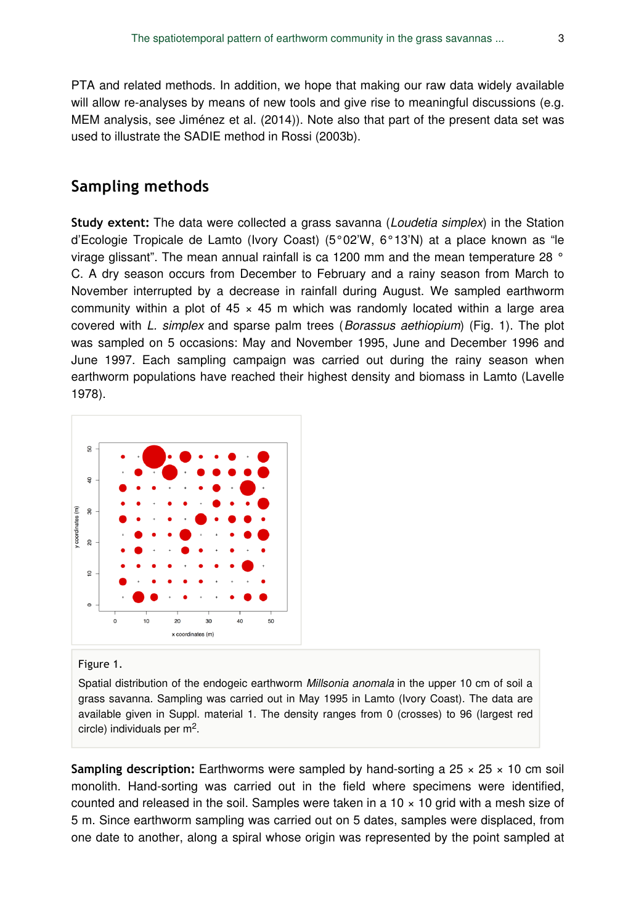PTA and related methods. In addition, we hope that making our raw data widely available will allow re-analyses by means of new tools and give rise to meaningful discussions (e.g. MEM analysis, see Jiménez et al. (2014)). Note also that part of the present data set was used to illustrate the SADIE method in Rossi (2003b).

#### **Sampling methods**

**Study extent:** The data were collected a grass savanna (*Loudetia simplex*) in the Station d'Ecologie Tropicale de Lamto (Ivory Coast) (5°02'W, 6°13'N) at a place known as "le virage glissant". The mean annual rainfall is ca 1200 mm and the mean temperature 28 ° C. A dry season occurs from December to February and a rainy season from March to November interrupted by a decrease in rainfall during August. We sampled earthworm community within a plot of  $45 \times 45$  m which was randomly located within a large area covered with *L. simplex* and sparse palm trees (*Borassus aethiopium*) (Fig. 1). The plot was sampled on 5 occasions: May and November 1995, June and December 1996 and June 1997. Each sampling campaign was carried out during the rainy season when earthworm populations have reached their highest density and biomass in Lamto (Lavelle 1978).



#### Figure 1.

Spatial distribution of the endogeic earthworm *Millsonia anomala* in the upper 10 cm of soil a grass savanna. Sampling was carried out in May 1995 in Lamto (Ivory Coast). The data are available given in Suppl. material 1. The density ranges from 0 (crosses) to 96 (largest red circle) individuals per  $m<sup>2</sup>$ .

**Sampling description:** Earthworms were sampled by hand-sorting a 25  $\times$  25  $\times$  10 cm soil monolith. Hand-sorting was carried out in the field where specimens were identified, counted and released in the soil. Samples were taken in a  $10 \times 10$  grid with a mesh size of 5 m. Since earthworm sampling was carried out on 5 dates, samples were displaced, from one date to another, along a spiral whose origin was represented by the point sampled at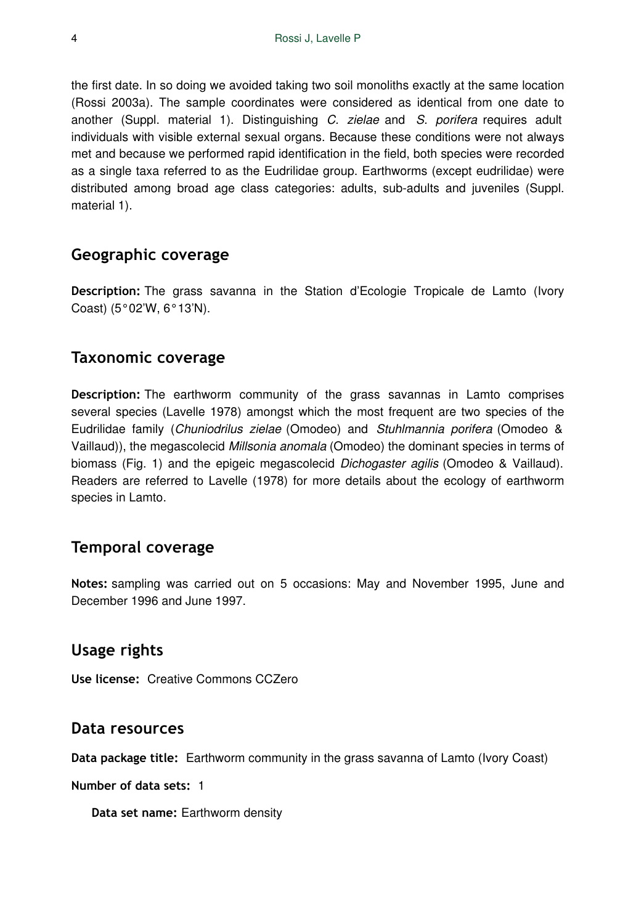the first date. In so doing we avoided taking two soil monoliths exactly at the same location (Rossi 2003a). The sample coordinates were considered as identical from one date to another (Suppl. material 1). Distinguishing *C. zielae* and *S. porifera* requires adult individuals with visible external sexual organs. Because these conditions were not always met and because we performed rapid identification in the field, both species were recorded as a single taxa referred to as the Eudrilidae group. Earthworms (except eudrilidae) were distributed among broad age class categories: adults, sub-adults and juveniles (Suppl. material 1).

### **Geographic coverage**

**Description:** The grass savanna in the Station d'Ecologie Tropicale de Lamto (Ivory Coast) (5°02'W, 6°13'N).

### **Taxonomic coverage**

**Description:** The earthworm community of the grass savannas in Lamto comprises several species (Lavelle 1978) amongst which the most frequent are two species of the Eudrilidae family (*Chuniodrilus zielae* (Omodeo) and *Stuhlmannia porifera* (Omodeo & Vaillaud)), the megascolecid *Millsonia anomala* (Omodeo) the dominant species in terms of biomass (Fig. 1) and the epigeic megascolecid *Dichogaster agilis* (Omodeo & Vaillaud). Readers are referred to Lavelle (1978) for more details about the ecology of earthworm species in Lamto.

#### **Temporal coverage**

**Notes:** sampling was carried out on 5 occasions: May and November 1995, June and December 1996 and June 1997.

## **Usage rights**

**Use license:** Creative Commons CCZero

#### **Data resources**

**Data package title:** Earthworm community in the grass savanna of Lamto (Ivory Coast)

**Number of data sets:** 1

**Data set name:** Earthworm density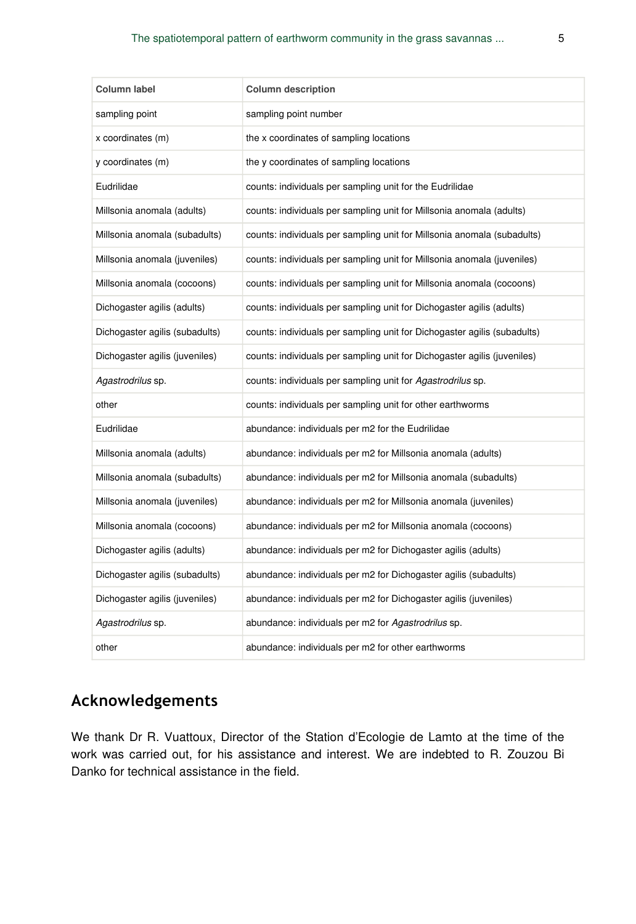| Column label                   | <b>Column description</b>                                                |
|--------------------------------|--------------------------------------------------------------------------|
| sampling point                 | sampling point number                                                    |
| x coordinates (m)              | the x coordinates of sampling locations                                  |
| y coordinates (m)              | the y coordinates of sampling locations                                  |
| Eudrilidae                     | counts: individuals per sampling unit for the Eudrilidae                 |
| Millsonia anomala (adults)     | counts: individuals per sampling unit for Millsonia anomala (adults)     |
| Millsonia anomala (subadults)  | counts: individuals per sampling unit for Millsonia anomala (subadults)  |
| Millsonia anomala (juveniles)  | counts: individuals per sampling unit for Millsonia anomala (juveniles)  |
| Millsonia anomala (cocoons)    | counts: individuals per sampling unit for Millsonia anomala (cocoons)    |
| Dichogaster agilis (adults)    | counts: individuals per sampling unit for Dichogaster agilis (adults)    |
| Dichogaster agilis (subadults) | counts: individuals per sampling unit for Dichogaster agilis (subadults) |
| Dichogaster agilis (juveniles) | counts: individuals per sampling unit for Dichogaster agilis (juveniles) |
|                                |                                                                          |
| Agastrodrilus sp.              | counts: individuals per sampling unit for Agastrodrilus sp.              |
| other                          | counts: individuals per sampling unit for other earthworms               |
| Eudrilidae                     | abundance: individuals per m2 for the Eudrilidae                         |
| Millsonia anomala (adults)     | abundance: individuals per m2 for Millsonia anomala (adults)             |
| Millsonia anomala (subadults)  | abundance: individuals per m2 for Millsonia anomala (subadults)          |
| Millsonia anomala (juveniles)  | abundance: individuals per m2 for Millsonia anomala (juveniles)          |
| Millsonia anomala (cocoons)    | abundance: individuals per m2 for Millsonia anomala (cocoons)            |
| Dichogaster agilis (adults)    | abundance: individuals per m2 for Dichogaster agilis (adults)            |
| Dichogaster agilis (subadults) | abundance: individuals per m2 for Dichogaster agilis (subadults)         |
| Dichogaster agilis (juveniles) | abundance: individuals per m2 for Dichogaster agilis (juveniles)         |
| Agastrodrilus sp.              | abundance: individuals per m2 for Agastrodrilus sp.                      |

# **Acknowledgements**

We thank Dr R. Vuattoux, Director of the Station d'Ecologie de Lamto at the time of the work was carried out, for his assistance and interest. We are indebted to R. Zouzou Bi Danko for technical assistance in the field.